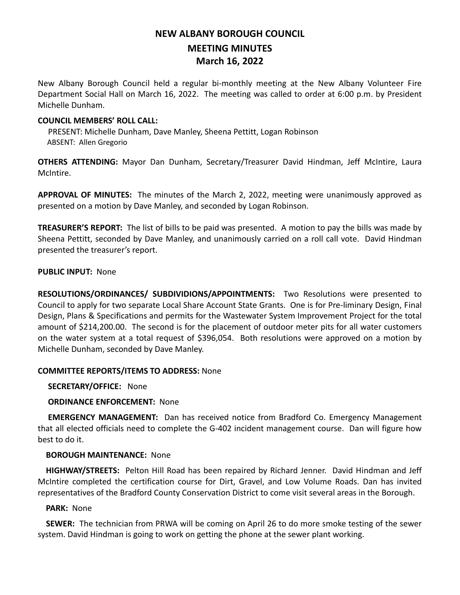# **NEW ALBANY BOROUGH COUNCIL MEETING MINUTES March 16, 2022**

New Albany Borough Council held a regular bi-monthly meeting at the New Albany Volunteer Fire Department Social Hall on March 16, 2022. The meeting was called to order at 6:00 p.m. by President Michelle Dunham.

### **COUNCIL MEMBERS' ROLL CALL:**

PRESENT: Michelle Dunham, Dave Manley, Sheena Pettitt, Logan Robinson ABSENT: Allen Gregorio

**OTHERS ATTENDING:** Mayor Dan Dunham, Secretary/Treasurer David Hindman, Jeff McIntire, Laura McIntire.

**APPROVAL OF MINUTES:** The minutes of the March 2, 2022, meeting were unanimously approved as presented on a motion by Dave Manley, and seconded by Logan Robinson.

**TREASURER'S REPORT:** The list of bills to be paid was presented. A motion to pay the bills was made by Sheena Pettitt, seconded by Dave Manley, and unanimously carried on a roll call vote. David Hindman presented the treasurer's report.

#### **PUBLIC INPUT:** None

**RESOLUTIONS/ORDINANCES/ SUBDIVIDIONS/APPOINTMENTS:** Two Resolutions were presented to Council to apply for two separate Local Share Account State Grants. One is for Pre-liminary Design, Final Design, Plans & Specifications and permits for the Wastewater System Improvement Project for the total amount of \$214,200.00. The second is for the placement of outdoor meter pits for all water customers on the water system at a total request of \$396,054. Both resolutions were approved on a motion by Michelle Dunham, seconded by Dave Manley.

#### **COMMITTEE REPORTS/ITEMS TO ADDRESS:** None

 **SECRETARY/OFFICE:** None

#### **ORDINANCE ENFORCEMENT:** None

 **EMERGENCY MANAGEMENT:** Dan has received notice from Bradford Co. Emergency Management that all elected officials need to complete the G-402 incident management course. Dan will figure how best to do it.

#### **BOROUGH MAINTENANCE:** None

 **HIGHWAY/STREETS:** Pelton Hill Road has been repaired by Richard Jenner. David Hindman and Jeff McIntire completed the certification course for Dirt, Gravel, and Low Volume Roads. Dan has invited representatives of the Bradford County Conservation District to come visit several areas in the Borough.

#### **PARK:** None

 **SEWER:** The technician from PRWA will be coming on April 26 to do more smoke testing of the sewer system. David Hindman is going to work on getting the phone at the sewer plant working.